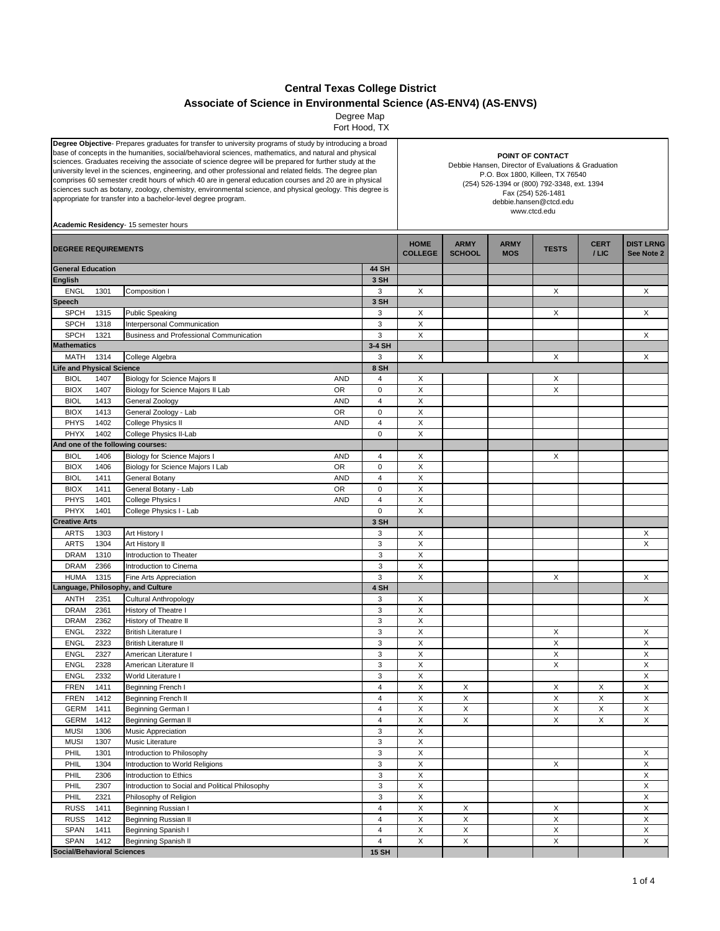## **Central Texas College District**

**Associate of Science in Environmental Science (AS-ENV4) (AS-ENVS)**

 Fort Hood, TX Degree Map

| Degree Objective- Prepares graduates for transfer to university programs of study by introducing a broad<br>base of concepts in the humanities, social/behavioral sciences, mathematics, and natural and physical<br>sciences. Graduates receiving the associate of science degree will be prepared for further study at the<br>university level in the sciences, engineering, and other professional and related fields. The degree plan<br>comprises 60 semester credit hours of which 40 are in general education courses and 20 are in physical<br>sciences such as botany, zoology, chemistry, environmental science, and physical geology. This degree is<br>appropriate for transfer into a bachelor-level degree program.<br>Academic Residency- 15 semester hours |                                   |                                                                        |                | POINT OF CONTACT<br>Debbie Hansen, Director of Evaluations & Graduation<br>P.O. Box 1800, Killeen, TX 76540<br>(254) 526-1394 or (800) 792-3348, ext. 1394<br>Fax (254) 526-1481<br>debbie.hansen@ctcd.edu<br>www.ctcd.edu |                              |                           |              |                     |                                |  |
|----------------------------------------------------------------------------------------------------------------------------------------------------------------------------------------------------------------------------------------------------------------------------------------------------------------------------------------------------------------------------------------------------------------------------------------------------------------------------------------------------------------------------------------------------------------------------------------------------------------------------------------------------------------------------------------------------------------------------------------------------------------------------|-----------------------------------|------------------------------------------------------------------------|----------------|----------------------------------------------------------------------------------------------------------------------------------------------------------------------------------------------------------------------------|------------------------------|---------------------------|--------------|---------------------|--------------------------------|--|
| <b>DEGREE REQUIREMENTS</b>                                                                                                                                                                                                                                                                                                                                                                                                                                                                                                                                                                                                                                                                                                                                                 |                                   |                                                                        |                | <b>HOME</b><br><b>COLLEGE</b>                                                                                                                                                                                              | <b>ARMY</b><br><b>SCHOOL</b> | <b>ARMY</b><br><b>MOS</b> | <b>TESTS</b> | <b>CERT</b><br>/LIC | <b>DIST LRNG</b><br>See Note 2 |  |
| <b>General Education</b>                                                                                                                                                                                                                                                                                                                                                                                                                                                                                                                                                                                                                                                                                                                                                   |                                   |                                                                        | <b>44 SH</b>   |                                                                                                                                                                                                                            |                              |                           |              |                     |                                |  |
| <b>English</b>                                                                                                                                                                                                                                                                                                                                                                                                                                                                                                                                                                                                                                                                                                                                                             |                                   |                                                                        | 3 SH           |                                                                                                                                                                                                                            |                              |                           |              |                     |                                |  |
| <b>ENGL</b>                                                                                                                                                                                                                                                                                                                                                                                                                                                                                                                                                                                                                                                                                                                                                                | 1301                              | Composition I                                                          | 3              | X                                                                                                                                                                                                                          |                              |                           | X            |                     | X                              |  |
| Speech                                                                                                                                                                                                                                                                                                                                                                                                                                                                                                                                                                                                                                                                                                                                                                     |                                   |                                                                        | 3 SH           |                                                                                                                                                                                                                            |                              |                           |              |                     |                                |  |
| <b>SPCH</b>                                                                                                                                                                                                                                                                                                                                                                                                                                                                                                                                                                                                                                                                                                                                                                | 1315                              | <b>Public Speaking</b>                                                 | 3              | X                                                                                                                                                                                                                          |                              |                           | X            |                     | X                              |  |
| <b>SPCH</b><br><b>SPCH</b>                                                                                                                                                                                                                                                                                                                                                                                                                                                                                                                                                                                                                                                                                                                                                 | 1318<br>1321                      | Interpersonal Communication<br>Business and Professional Communication | 3<br>3         | X<br>X                                                                                                                                                                                                                     |                              |                           |              |                     | X                              |  |
| <b>Mathematics</b>                                                                                                                                                                                                                                                                                                                                                                                                                                                                                                                                                                                                                                                                                                                                                         |                                   |                                                                        | 3-4 SH         |                                                                                                                                                                                                                            |                              |                           |              |                     |                                |  |
| MATH                                                                                                                                                                                                                                                                                                                                                                                                                                                                                                                                                                                                                                                                                                                                                                       | 1314                              | College Algebra                                                        | 3              | X                                                                                                                                                                                                                          |                              |                           | X            |                     | X                              |  |
| <b>Life and Physical Science</b>                                                                                                                                                                                                                                                                                                                                                                                                                                                                                                                                                                                                                                                                                                                                           |                                   |                                                                        | 8 SH           |                                                                                                                                                                                                                            |                              |                           |              |                     |                                |  |
| <b>BIOL</b>                                                                                                                                                                                                                                                                                                                                                                                                                                                                                                                                                                                                                                                                                                                                                                | 1407                              | <b>AND</b><br><b>Biology for Science Majors II</b>                     | 4              | X                                                                                                                                                                                                                          |                              |                           | X            |                     |                                |  |
| <b>BIOX</b>                                                                                                                                                                                                                                                                                                                                                                                                                                                                                                                                                                                                                                                                                                                                                                | 1407                              | Biology for Science Majors II Lab<br>OR                                | 0              | X                                                                                                                                                                                                                          |                              |                           | X            |                     |                                |  |
| <b>BIOL</b>                                                                                                                                                                                                                                                                                                                                                                                                                                                                                                                                                                                                                                                                                                                                                                | 1413                              | <b>AND</b><br>General Zoology                                          | 4              | $\mathsf X$                                                                                                                                                                                                                |                              |                           |              |                     |                                |  |
| <b>BIOX</b>                                                                                                                                                                                                                                                                                                                                                                                                                                                                                                                                                                                                                                                                                                                                                                | 1413                              | <b>OR</b><br>General Zoology - Lab                                     | 0              | X                                                                                                                                                                                                                          |                              |                           |              |                     |                                |  |
| PHYS                                                                                                                                                                                                                                                                                                                                                                                                                                                                                                                                                                                                                                                                                                                                                                       | 1402                              | College Physics II<br><b>AND</b>                                       | 4              | X                                                                                                                                                                                                                          |                              |                           |              |                     |                                |  |
| PHYX                                                                                                                                                                                                                                                                                                                                                                                                                                                                                                                                                                                                                                                                                                                                                                       | 1402                              | College Physics II-Lab                                                 | 0              | X                                                                                                                                                                                                                          |                              |                           |              |                     |                                |  |
|                                                                                                                                                                                                                                                                                                                                                                                                                                                                                                                                                                                                                                                                                                                                                                            |                                   | And one of the following courses:                                      |                |                                                                                                                                                                                                                            |                              |                           |              |                     |                                |  |
| <b>BIOL</b>                                                                                                                                                                                                                                                                                                                                                                                                                                                                                                                                                                                                                                                                                                                                                                | 1406                              | Biology for Science Majors I<br><b>AND</b>                             | 4              | X                                                                                                                                                                                                                          |                              |                           | X            |                     |                                |  |
| <b>BIOX</b>                                                                                                                                                                                                                                                                                                                                                                                                                                                                                                                                                                                                                                                                                                                                                                | 1406                              | <b>OR</b><br>Biology for Science Majors I Lab                          | 0              | X                                                                                                                                                                                                                          |                              |                           |              |                     |                                |  |
| <b>BIOL</b>                                                                                                                                                                                                                                                                                                                                                                                                                                                                                                                                                                                                                                                                                                                                                                | 1411                              | General Botany<br><b>AND</b>                                           | $\overline{4}$ | X                                                                                                                                                                                                                          |                              |                           |              |                     |                                |  |
| <b>BIOX</b>                                                                                                                                                                                                                                                                                                                                                                                                                                                                                                                                                                                                                                                                                                                                                                | 1411                              | OR<br>General Botany - Lab                                             | 0              | X                                                                                                                                                                                                                          |                              |                           |              |                     |                                |  |
| <b>PHYS</b>                                                                                                                                                                                                                                                                                                                                                                                                                                                                                                                                                                                                                                                                                                                                                                | 1401                              | College Physics I<br><b>AND</b>                                        | $\overline{4}$ | $\mathsf X$                                                                                                                                                                                                                |                              |                           |              |                     |                                |  |
| PHYX                                                                                                                                                                                                                                                                                                                                                                                                                                                                                                                                                                                                                                                                                                                                                                       | 1401                              | College Physics I - Lab                                                | $\mathbf 0$    | X                                                                                                                                                                                                                          |                              |                           |              |                     |                                |  |
| <b>Creative Arts</b>                                                                                                                                                                                                                                                                                                                                                                                                                                                                                                                                                                                                                                                                                                                                                       |                                   |                                                                        | 3 SH           |                                                                                                                                                                                                                            |                              |                           |              |                     |                                |  |
| <b>ARTS</b>                                                                                                                                                                                                                                                                                                                                                                                                                                                                                                                                                                                                                                                                                                                                                                | 1303                              | Art History I                                                          | 3              | Х                                                                                                                                                                                                                          |                              |                           |              |                     | X                              |  |
| <b>ARTS</b>                                                                                                                                                                                                                                                                                                                                                                                                                                                                                                                                                                                                                                                                                                                                                                | 1304                              | Art History II                                                         | 3              | $\mathsf X$                                                                                                                                                                                                                |                              |                           |              |                     | X                              |  |
| <b>DRAM</b>                                                                                                                                                                                                                                                                                                                                                                                                                                                                                                                                                                                                                                                                                                                                                                | 1310                              | Introduction to Theater                                                | 3              | X                                                                                                                                                                                                                          |                              |                           |              |                     |                                |  |
| <b>DRAM</b>                                                                                                                                                                                                                                                                                                                                                                                                                                                                                                                                                                                                                                                                                                                                                                | 2366                              | Introduction to Cinema                                                 | 3              | $\mathsf X$                                                                                                                                                                                                                |                              |                           |              |                     |                                |  |
| <b>HUMA</b>                                                                                                                                                                                                                                                                                                                                                                                                                                                                                                                                                                                                                                                                                                                                                                | 1315                              | Fine Arts Appreciation                                                 | 3              | X                                                                                                                                                                                                                          |                              |                           | X            |                     | X                              |  |
|                                                                                                                                                                                                                                                                                                                                                                                                                                                                                                                                                                                                                                                                                                                                                                            |                                   | Language, Philosophy, and Culture                                      | 4 SH           |                                                                                                                                                                                                                            |                              |                           |              |                     |                                |  |
| <b>ANTH</b>                                                                                                                                                                                                                                                                                                                                                                                                                                                                                                                                                                                                                                                                                                                                                                | 2351                              | Cultural Anthropology                                                  | 3              | X                                                                                                                                                                                                                          |                              |                           |              |                     | X                              |  |
| <b>DRAM</b>                                                                                                                                                                                                                                                                                                                                                                                                                                                                                                                                                                                                                                                                                                                                                                | 2361                              | History of Theatre I                                                   | 3              | X                                                                                                                                                                                                                          |                              |                           |              |                     |                                |  |
| <b>DRAM</b>                                                                                                                                                                                                                                                                                                                                                                                                                                                                                                                                                                                                                                                                                                                                                                | 2362                              | History of Theatre II                                                  | 3              | X                                                                                                                                                                                                                          |                              |                           |              |                     |                                |  |
| <b>ENGL</b>                                                                                                                                                                                                                                                                                                                                                                                                                                                                                                                                                                                                                                                                                                                                                                | 2322                              | <b>British Literature I</b>                                            | 3              | $\mathsf X$                                                                                                                                                                                                                |                              |                           | X            |                     | X                              |  |
| <b>ENGL</b>                                                                                                                                                                                                                                                                                                                                                                                                                                                                                                                                                                                                                                                                                                                                                                | 2323<br>2327                      | <b>British Literature II</b><br>American Literature I                  | 3<br>3         | X<br>X                                                                                                                                                                                                                     |                              |                           | X<br>X       |                     | X<br>X                         |  |
| <b>ENGL</b><br>ENGL                                                                                                                                                                                                                                                                                                                                                                                                                                                                                                                                                                                                                                                                                                                                                        | 2328                              |                                                                        | 3              | X                                                                                                                                                                                                                          |                              |                           | Χ            |                     | Χ                              |  |
| <b>ENGL</b>                                                                                                                                                                                                                                                                                                                                                                                                                                                                                                                                                                                                                                                                                                                                                                | 2332                              | American Literature II<br>World Literature I                           | 3              | X                                                                                                                                                                                                                          |                              |                           |              |                     | $\mathsf X$                    |  |
| <b>FREN</b>                                                                                                                                                                                                                                                                                                                                                                                                                                                                                                                                                                                                                                                                                                                                                                | 1411                              | Beginning French I                                                     | 4              | X                                                                                                                                                                                                                          | X                            |                           | X            | X                   | $\boldsymbol{\mathsf{X}}$      |  |
| <b>FREN</b>                                                                                                                                                                                                                                                                                                                                                                                                                                                                                                                                                                                                                                                                                                                                                                | 1412                              | Beginning French II                                                    | 4              | X                                                                                                                                                                                                                          | X                            |                           | X            | X                   | X                              |  |
| GERM                                                                                                                                                                                                                                                                                                                                                                                                                                                                                                                                                                                                                                                                                                                                                                       | 1411                              | Beginning German I                                                     | 4              | X                                                                                                                                                                                                                          | X                            |                           | X            | X                   | X                              |  |
| <b>GERM</b>                                                                                                                                                                                                                                                                                                                                                                                                                                                                                                                                                                                                                                                                                                                                                                | 1412                              | Beginning German II                                                    | 4              | X                                                                                                                                                                                                                          | X                            |                           | X            | X                   | X                              |  |
| <b>MUSI</b>                                                                                                                                                                                                                                                                                                                                                                                                                                                                                                                                                                                                                                                                                                                                                                | 1306                              | Music Appreciation                                                     | 3              | $\mathsf X$                                                                                                                                                                                                                |                              |                           |              |                     |                                |  |
| <b>MUSI</b>                                                                                                                                                                                                                                                                                                                                                                                                                                                                                                                                                                                                                                                                                                                                                                | 1307                              | Music Literature                                                       | 3              | X                                                                                                                                                                                                                          |                              |                           |              |                     |                                |  |
| PHIL                                                                                                                                                                                                                                                                                                                                                                                                                                                                                                                                                                                                                                                                                                                                                                       | 1301                              | Introduction to Philosophy                                             | 3              | $\mathsf X$                                                                                                                                                                                                                |                              |                           |              |                     | X                              |  |
| PHIL                                                                                                                                                                                                                                                                                                                                                                                                                                                                                                                                                                                                                                                                                                                                                                       | 1304                              | Introduction to World Religions                                        | 3              | $\mathsf X$                                                                                                                                                                                                                |                              |                           | X            |                     | $\boldsymbol{\mathsf{X}}$      |  |
| PHIL                                                                                                                                                                                                                                                                                                                                                                                                                                                                                                                                                                                                                                                                                                                                                                       | 2306                              | Introduction to Ethics                                                 | 3              | X                                                                                                                                                                                                                          |                              |                           |              |                     | X                              |  |
| PHIL                                                                                                                                                                                                                                                                                                                                                                                                                                                                                                                                                                                                                                                                                                                                                                       | 2307                              | Introduction to Social and Political Philosophy                        | 3              | $\mathsf X$                                                                                                                                                                                                                |                              |                           |              |                     | X                              |  |
| PHIL                                                                                                                                                                                                                                                                                                                                                                                                                                                                                                                                                                                                                                                                                                                                                                       | 2321                              | Philosophy of Religion                                                 | 3              | X                                                                                                                                                                                                                          |                              |                           |              |                     | X                              |  |
| <b>RUSS</b>                                                                                                                                                                                                                                                                                                                                                                                                                                                                                                                                                                                                                                                                                                                                                                | 1411                              | Beginning Russian I                                                    | 4              | $\mathsf X$                                                                                                                                                                                                                | X                            |                           | X            |                     | $\boldsymbol{\mathsf{X}}$      |  |
| <b>RUSS</b>                                                                                                                                                                                                                                                                                                                                                                                                                                                                                                                                                                                                                                                                                                                                                                | 1412                              | Beginning Russian II                                                   | 4              | $\mathsf X$                                                                                                                                                                                                                | Χ                            |                           | X            |                     | X                              |  |
| <b>SPAN</b>                                                                                                                                                                                                                                                                                                                                                                                                                                                                                                                                                                                                                                                                                                                                                                | 1411                              | Beginning Spanish I                                                    | 4              | X                                                                                                                                                                                                                          | X                            |                           | $\mathsf X$  |                     | X                              |  |
| SPAN                                                                                                                                                                                                                                                                                                                                                                                                                                                                                                                                                                                                                                                                                                                                                                       | 1412                              | Beginning Spanish II                                                   | 4              | X                                                                                                                                                                                                                          | X                            |                           | X            |                     | X                              |  |
|                                                                                                                                                                                                                                                                                                                                                                                                                                                                                                                                                                                                                                                                                                                                                                            | <b>Social/Behavioral Sciences</b> |                                                                        | <b>15 SH</b>   |                                                                                                                                                                                                                            |                              |                           |              |                     |                                |  |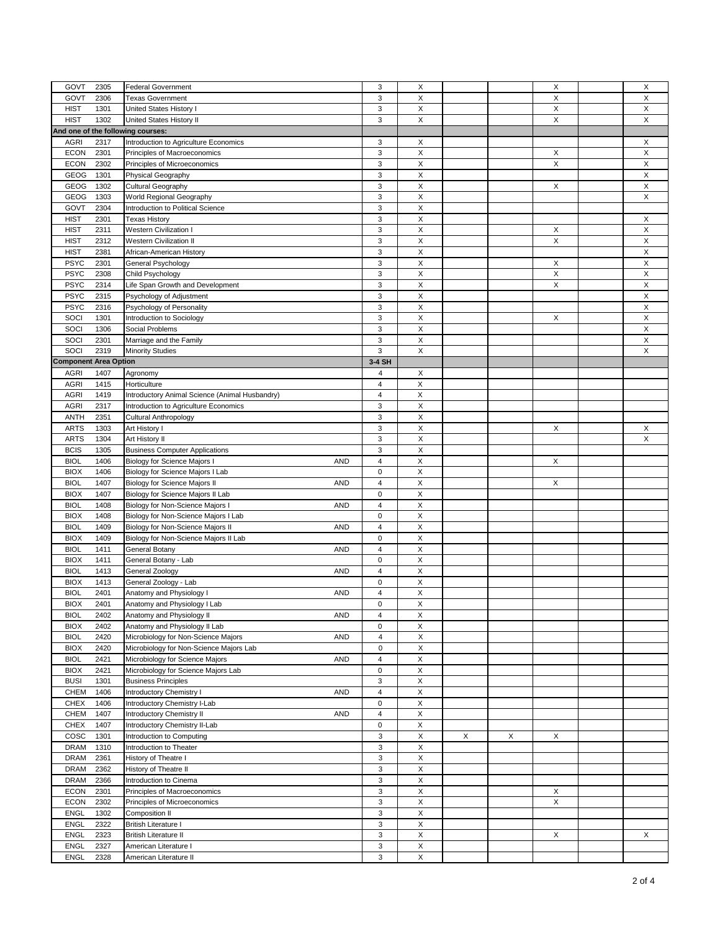|                              |      |                                                   | 3                       |             |   |   |   |             |
|------------------------------|------|---------------------------------------------------|-------------------------|-------------|---|---|---|-------------|
| GOVT                         | 2305 | <b>Federal Government</b>                         |                         | X           |   |   | X | X           |
| GOVT                         | 2306 | <b>Texas Government</b>                           | 3                       | X           |   |   | X | X           |
| <b>HIST</b>                  | 1301 | United States History I                           | 3                       | X           |   |   | Χ | X           |
| <b>HIST</b>                  | 1302 | United States History II                          | 3                       | X           |   |   | X | X           |
|                              |      | And one of the following courses:                 |                         |             |   |   |   |             |
| <b>AGRI</b>                  | 2317 | Introduction to Agriculture Economics             | 3                       | X           |   |   |   | X           |
|                              |      |                                                   |                         | X           |   |   |   |             |
| <b>ECON</b>                  | 2301 | Principles of Macroeconomics                      | 3                       |             |   |   | X | X           |
| <b>ECON</b>                  | 2302 | Principles of Microeconomics                      | 3                       | X           |   |   | X | X           |
| GEOG                         | 1301 | Physical Geography                                | 3                       | X           |   |   |   | X           |
| GEOG                         | 1302 | Cultural Geography                                | 3                       | X           |   |   | X | X           |
| GEOG                         | 1303 | World Regional Geography                          | 3                       | X           |   |   |   | X           |
|                              |      | Introduction to Political Science                 | 3                       | X           |   |   |   |             |
| GOVT                         | 2304 |                                                   |                         |             |   |   |   |             |
| <b>HIST</b>                  | 2301 | Texas History                                     | 3                       | X           |   |   |   | X           |
| <b>HIST</b>                  | 2311 | Western Civilization I                            | 3                       | X           |   |   | X | X           |
| <b>HIST</b>                  | 2312 | <b>Western Civilization II</b>                    | 3                       | X           |   |   | X | X           |
| <b>HIST</b>                  | 2381 | African-American History                          | 3                       | X           |   |   |   | X           |
|                              |      |                                                   |                         | X           |   |   |   |             |
| <b>PSYC</b>                  | 2301 | General Psychology                                | 3                       |             |   |   | X | X           |
| <b>PSYC</b>                  | 2308 | Child Psychology                                  | 3                       | X           |   |   | X | $\mathsf X$ |
| <b>PSYC</b>                  | 2314 | Life Span Growth and Development                  | 3                       | X           |   |   | X | X           |
| <b>PSYC</b>                  | 2315 | Psychology of Adjustment                          | 3                       | X           |   |   |   | X           |
| <b>PSYC</b>                  | 2316 | Psychology of Personality                         | 3                       | Χ           |   |   |   | X           |
|                              |      |                                                   |                         | X           |   |   |   |             |
| SOCI                         | 1301 | Introduction to Sociology                         | 3                       |             |   |   | X | X           |
| SOCI                         | 1306 | Social Problems                                   | 3                       | X           |   |   |   | X           |
| SOCI                         | 2301 | Marriage and the Family                           | 3                       | Χ           |   |   |   | X           |
| SOCI                         | 2319 | <b>Minority Studies</b>                           | 3                       | X           |   |   |   | X           |
| <b>Component Area Option</b> |      |                                                   | 3-4 SH                  |             |   |   |   |             |
| AGRI                         | 1407 |                                                   | 4                       | X           |   |   |   |             |
|                              |      | Agronomy                                          |                         |             |   |   |   |             |
| <b>AGRI</b>                  | 1415 | Horticulture                                      | $\overline{4}$          | X           |   |   |   |             |
| <b>AGRI</b>                  | 1419 | Introductory Animal Science (Animal Husbandry)    | $\overline{\mathbf{4}}$ | X           |   |   |   |             |
| <b>AGRI</b>                  | 2317 | Introduction to Agriculture Economics             | 3                       | X           |   |   |   |             |
| <b>ANTH</b>                  | 2351 | <b>Cultural Anthropology</b>                      | 3                       | X           |   |   |   |             |
| <b>ARTS</b>                  | 1303 |                                                   | 3                       | X           |   |   | X | X           |
|                              |      | Art History I                                     |                         |             |   |   |   |             |
| <b>ARTS</b>                  | 1304 | Art History II                                    | 3                       | Χ           |   |   |   | X           |
| <b>BCIS</b>                  | 1305 | <b>Business Computer Applications</b>             | 3                       | $\mathsf X$ |   |   |   |             |
| <b>BIOL</b>                  | 1406 | <b>Biology for Science Majors I</b><br><b>AND</b> | 4                       | X           |   |   | X |             |
| <b>BIOX</b>                  | 1406 | Biology for Science Majors I Lab                  | $\mathbf 0$             | X           |   |   |   |             |
|                              |      |                                                   |                         |             |   |   |   |             |
| <b>BIOL</b>                  | 1407 | Biology for Science Majors II<br><b>AND</b>       | 4                       | X           |   |   | X |             |
| <b>BIOX</b>                  | 1407 | Biology for Science Majors II Lab                 | $\pmb{0}$               | Χ           |   |   |   |             |
| <b>BIOL</b>                  | 1408 | Biology for Non-Science Majors I<br><b>AND</b>    | $\overline{4}$          | Χ           |   |   |   |             |
| <b>BIOX</b>                  | 1408 | Biology for Non-Science Majors I Lab              | 0                       | Χ           |   |   |   |             |
| <b>BIOL</b>                  | 1409 | Biology for Non-Science Majors II<br><b>AND</b>   | $\overline{4}$          | Χ           |   |   |   |             |
| <b>BIOX</b>                  | 1409 |                                                   | $\pmb{0}$               | X           |   |   |   |             |
|                              |      | Biology for Non-Science Majors II Lab             |                         |             |   |   |   |             |
| <b>BIOL</b>                  | 1411 | <b>AND</b><br>General Botany                      | $\overline{4}$          | X           |   |   |   |             |
| <b>BIOX</b>                  | 1411 | General Botany - Lab                              | $\mathbf 0$             | Χ           |   |   |   |             |
| <b>BIOL</b>                  | 1413 | General Zoology<br><b>AND</b>                     | $\overline{4}$          | X           |   |   |   |             |
| <b>BIOX</b>                  | 1413 | General Zoology - Lab                             | $\pmb{0}$               | X           |   |   |   |             |
| <b>BIOL</b>                  | 2401 | <b>AND</b>                                        | 4                       | X           |   |   |   |             |
|                              |      | Anatomy and Physiology I                          |                         |             |   |   |   |             |
| <b>BIOX</b>                  | 2401 | Anatomy and Physiology I Lab                      | $\mathbf 0$             | X           |   |   |   |             |
| <b>BIOL</b>                  | 2402 | Anatomy and Physiology II<br><b>AND</b>           | 4                       | X           |   |   |   |             |
| <b>BIOX</b>                  | 2402 | Anatomy and Physiology II Lab                     | 0                       | X           |   |   |   |             |
| <b>BIOL</b>                  | 2420 | Microbiology for Non-Science Majors<br><b>AND</b> | 4                       | X           |   |   |   |             |
| <b>BIOX</b>                  | 2420 | Microbiology for Non-Science Majors Lab           | 0                       | X           |   |   |   |             |
|                              |      |                                                   |                         |             |   |   |   |             |
| <b>BIOL</b>                  | 2421 | Microbiology for Science Majors<br><b>AND</b>     | 4                       | X           |   |   |   |             |
| <b>BIOX</b>                  | 2421 | Microbiology for Science Majors Lab               | 0                       | X           |   |   |   |             |
| <b>BUSI</b>                  | 1301 | <b>Business Principles</b>                        | 3                       | X           |   |   |   |             |
| CHEM                         | 1406 | <b>AND</b><br>Introductory Chemistry I            | 4                       | Χ           |   |   |   |             |
| <b>CHEX</b>                  | 1406 | Introductory Chemistry I-Lab                      | 0                       | Χ           |   |   |   |             |
|                              |      |                                                   |                         |             |   |   |   |             |
| CHEM                         | 1407 | Introductory Chemistry II<br><b>AND</b>           | 4                       | Χ           |   |   |   |             |
| CHEX                         | 1407 | Introductory Chemistry II-Lab                     | 0                       | X           |   |   |   |             |
| COSC                         | 1301 | Introduction to Computing                         | 3                       | X           | X | X | X |             |
| <b>DRAM</b>                  | 1310 | Introduction to Theater                           | 3                       | X           |   |   |   |             |
| DRAM                         | 2361 |                                                   | 3                       | Χ           |   |   |   |             |
|                              |      | History of Theatre I                              |                         |             |   |   |   |             |
| <b>DRAM</b>                  | 2362 | History of Theatre II                             | 3                       | Χ           |   |   |   |             |
| DRAM                         | 2366 | Introduction to Cinema                            | 3                       | X           |   |   |   |             |
| ECON                         | 2301 | Principles of Macroeconomics                      | 3                       | X           |   |   | X |             |
| <b>ECON</b>                  | 2302 | Principles of Microeconomics                      | 3                       | X           |   |   | X |             |
| ENGL                         | 1302 |                                                   | 3                       | Χ           |   |   |   |             |
|                              |      | Composition II                                    |                         |             |   |   |   |             |
| ENGL                         | 2322 | <b>British Literature I</b>                       | 3                       | X           |   |   |   |             |
| ENGL                         | 2323 | <b>British Literature II</b>                      | 3                       | Χ           |   |   | X | X           |
| ENGL                         | 2327 | American Literature I                             | 3                       | X           |   |   |   |             |
| ENGL                         | 2328 | American Literature II                            | $\mathsf 3$             | $\mathsf X$ |   |   |   |             |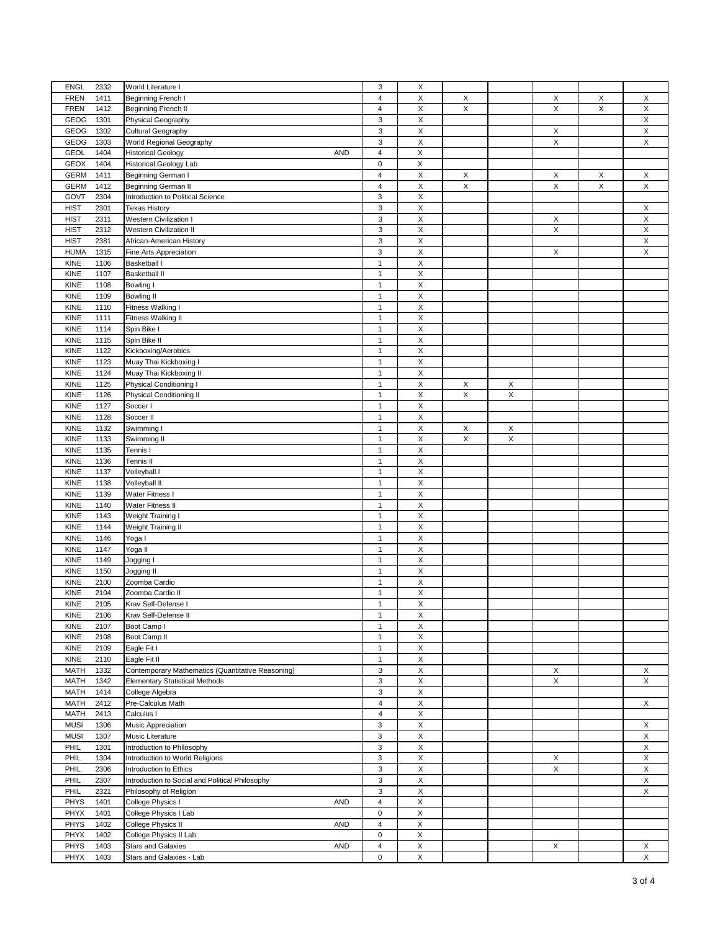| <b>ENGL</b><br>2332 | World Literature I                                | 3                       | Х           |   |                           |             |   |             |
|---------------------|---------------------------------------------------|-------------------------|-------------|---|---------------------------|-------------|---|-------------|
| <b>FREN</b><br>1411 | Beginning French I                                | $\overline{\mathbf{4}}$ | Χ           | X |                           | X           | X | X           |
| <b>FREN</b><br>1412 | Beginning French II                               | 4                       | Χ           | X |                           | X           | X | X           |
| GEOG<br>1301        | Physical Geography                                | 3                       | X           |   |                           |             |   | X           |
| GEOG<br>1302        | Cultural Geography                                | 3                       | X           |   |                           | X           |   | X           |
| GEOG<br>1303        | World Regional Geography                          | 3                       | X           |   |                           | X           |   | X           |
|                     |                                                   |                         |             |   |                           |             |   |             |
| <b>GEOL</b><br>1404 | <b>Historical Geology</b><br><b>AND</b>           | 4                       | X           |   |                           |             |   |             |
| GEOX<br>1404        | <b>Historical Geology Lab</b>                     | $\pmb{0}$               | X           |   |                           |             |   |             |
| <b>GERM</b><br>1411 | Beginning German I                                | 4                       | $\mathsf X$ | X |                           | Х           | X | X           |
| <b>GERM</b><br>1412 | <b>Beginning German II</b>                        | 4                       | $\mathsf X$ | X |                           | X           | X | X           |
| GOVT<br>2304        | Introduction to Political Science                 | 3                       | Χ           |   |                           |             |   |             |
|                     |                                                   |                         |             |   |                           |             |   |             |
| <b>HIST</b><br>2301 | <b>Texas History</b>                              | 3                       | $\mathsf X$ |   |                           |             |   | X           |
| <b>HIST</b><br>2311 | <b>Western Civilization I</b>                     | 3                       | X           |   |                           | X           |   | X           |
| <b>HIST</b><br>2312 | <b>Western Civilization II</b>                    | 3                       | X           |   |                           | $\mathsf X$ |   | X           |
| <b>HIST</b><br>2381 | African-American History                          | 3                       | $\mathsf X$ |   |                           |             |   | X           |
| <b>HUMA</b><br>1315 | Fine Arts Appreciation                            | 3                       | $\mathsf X$ |   |                           | X           |   | $\mathsf X$ |
|                     |                                                   |                         |             |   |                           |             |   |             |
| KINE<br>1106        | Basketball I                                      | $\mathbf{1}$            | Χ           |   |                           |             |   |             |
| KINE<br>1107        | <b>Basketball II</b>                              | $\mathbf{1}$            | $\mathsf X$ |   |                           |             |   |             |
| <b>KINE</b><br>1108 | Bowling I                                         | 1                       | Χ           |   |                           |             |   |             |
| KINE<br>1109        | <b>Bowling II</b>                                 | 1                       | Χ           |   |                           |             |   |             |
| KINE<br>1110        | Fitness Walking I                                 | $\mathbf{1}$            | $\mathsf X$ |   |                           |             |   |             |
|                     |                                                   |                         |             |   |                           |             |   |             |
| KINE<br>1111        | Fitness Walking II                                | $\mathbf{1}$            | X           |   |                           |             |   |             |
| KINE<br>1114        | Spin Bike I                                       | $\mathbf{1}$            | $\mathsf X$ |   |                           |             |   |             |
| KINE<br>1115        | Spin Bike II                                      | $\mathbf{1}$            | X           |   |                           |             |   |             |
| KINE<br>1122        | Kickboxing/Aerobics                               | $\mathbf{1}$            | $\mathsf X$ |   |                           |             |   |             |
| KINE<br>1123        | Muay Thai Kickboxing I                            | $\mathbf{1}$            | $\mathsf X$ |   |                           |             |   |             |
| 1124                |                                                   | $\mathbf{1}$            | X           |   |                           |             |   |             |
| KINE                | Muay Thai Kickboxing II                           |                         |             |   |                           |             |   |             |
| KINE<br>1125        | Physical Conditioning I                           | $\overline{1}$          | Χ           | X | X                         |             |   |             |
| KINE<br>1126        | Physical Conditioning II                          | $\mathbf{1}$            | $\mathsf X$ | X | $\boldsymbol{\mathsf{X}}$ |             |   |             |
| KINE<br>1127        | Soccer I                                          | $\mathbf{1}$            | X           |   |                           |             |   |             |
| KINE<br>1128        | Soccer II                                         | $\mathbf{1}$            | Χ           |   |                           |             |   |             |
|                     |                                                   |                         |             |   |                           |             |   |             |
| KINE<br>1132        | Swimming I                                        | $\mathbf{1}$            | X           | X | X                         |             |   |             |
| KINE<br>1133        | Swimming II                                       | $\mathbf{1}$            | $\sf X$     | Χ | X                         |             |   |             |
| KINE<br>1135        | Tennis I                                          | $\mathbf{1}$            | $\mathsf X$ |   |                           |             |   |             |
| <b>KINE</b><br>1136 | Tennis II                                         | $\mathbf{1}$            | X           |   |                           |             |   |             |
| KINE<br>1137        | Volleyball I                                      | 1                       | Χ           |   |                           |             |   |             |
| KINE<br>1138        |                                                   | $\mathbf{1}$            | $\mathsf X$ |   |                           |             |   |             |
|                     | Volleyball II                                     |                         |             |   |                           |             |   |             |
| KINE<br>1139        | Water Fitness I                                   | $\mathbf{1}$            | X           |   |                           |             |   |             |
| KINE<br>1140        | Water Fitness II                                  | $\mathbf{1}$            | $\mathsf X$ |   |                           |             |   |             |
| KINE<br>1143        | Weight Training I                                 | $\mathbf{1}$            | X           |   |                           |             |   |             |
| 1144<br>KINE        | Weight Training II                                | $\mathbf{1}$            | $\mathsf X$ |   |                           |             |   |             |
| KINE<br>1146        | Yoga I                                            | $\mathbf{1}$            | $\mathsf X$ |   |                           |             |   |             |
|                     |                                                   |                         |             |   |                           |             |   |             |
| KINE<br>1147        | Yoga II                                           | $\mathbf{1}$            | X           |   |                           |             |   |             |
| KINE<br>1149        | Jogging I                                         | 1                       | X           |   |                           |             |   |             |
| KINE<br>1150        | Jogging II                                        | $\mathbf{1}$            | $\mathsf X$ |   |                           |             |   |             |
| KINE<br>2100        | Zoomba Cardio                                     | $\mathbf{1}$            | X           |   |                           |             |   |             |
| KINE<br>2104        |                                                   | $\mathbf{1}$            | $\mathsf X$ |   |                           |             |   |             |
|                     | Zoomba Cardio II                                  | 1                       |             |   |                           |             |   |             |
| <b>KINE</b><br>2105 | Krav Self-Defense I                               |                         | X           |   |                           |             |   |             |
| <b>KINE</b><br>2106 | Krav Self-Defense II                              | $\mathbf{1}$            | X           |   |                           |             |   |             |
| KINE<br>2107        | Boot Camp I                                       | $\mathbf{1}$            | X           |   |                           |             |   |             |
| KINE<br>2108        | Boot Camp II                                      | $\mathbf{1}$            | X           |   |                           |             |   |             |
| KINE<br>2109        | Eagle Fit I                                       | $\mathbf{1}$            | X           |   |                           |             |   |             |
|                     |                                                   |                         |             |   |                           |             |   |             |
| KINE<br>2110        | Eagle Fit II                                      | $\mathbf{1}$            | $\mathsf X$ |   |                           |             |   |             |
| <b>MATH</b><br>1332 | Contemporary Mathematics (Quantitative Reasoning) | 3                       | X           |   |                           | X           |   | X           |
| <b>MATH</b><br>1342 | <b>Elementary Statistical Methods</b>             | 3                       | X           |   |                           | X           |   | X           |
| MATH<br>1414        | College Algebra                                   | 3                       | X           |   |                           |             |   |             |
| MATH<br>2412        | Pre-Calculus Math                                 | 4                       | X           |   |                           |             |   | $\mathsf X$ |
|                     |                                                   |                         |             |   |                           |             |   |             |
| MATH<br>2413        | Calculus I                                        | 4                       | $\mathsf X$ |   |                           |             |   |             |
| <b>MUSI</b><br>1306 | Music Appreciation                                | 3                       | X           |   |                           |             |   | X           |
| <b>MUSI</b><br>1307 | Music Literature                                  | 3                       | Χ           |   |                           |             |   | X           |
| PHIL<br>1301        | Introduction to Philosophy                        | 3                       | X           |   |                           |             |   | X           |
| PHIL<br>1304        | Introduction to World Religions                   | 3                       | $\mathsf X$ |   |                           | X           |   | X           |
|                     |                                                   |                         |             |   |                           |             |   |             |
| PHIL<br>2306        | Introduction to Ethics                            | 3                       | X           |   |                           | X           |   | X           |
| PHIL<br>2307        | Introduction to Social and Political Philosophy   | 3                       | $\mathsf X$ |   |                           |             |   | $\mathsf X$ |
| PHIL<br>2321        | Philosophy of Religion                            | 3                       | X           |   |                           |             |   | X           |
| <b>PHYS</b><br>1401 | <b>AND</b><br>College Physics I                   | 4                       | $\mathsf X$ |   |                           |             |   |             |
| PHYX<br>1401        | College Physics I Lab                             | 0                       | Χ           |   |                           |             |   |             |
|                     |                                                   |                         |             |   |                           |             |   |             |
| PHYS<br>1402        | College Physics II<br><b>AND</b>                  | 4                       | X           |   |                           |             |   |             |
| PHYX<br>1402        | College Physics II Lab                            | 0                       | X           |   |                           |             |   |             |
| PHYS<br>1403        | <b>Stars and Galaxies</b><br>AND                  | $\overline{4}$          | X           |   |                           | X           |   | X           |
| PHYX<br>1403        | Stars and Galaxies - Lab                          | 0                       | $\mathsf X$ |   |                           |             |   | X           |